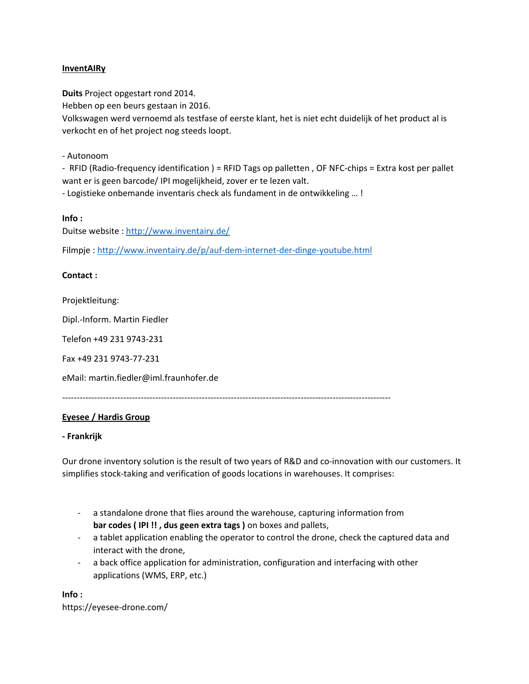### **InventAIRy**

**Duits** Project opgestart rond 2014.

Hebben op een beurs gestaan in 2016.

Volkswagen werd vernoemd als testfase of eerste klant, het is niet echt duidelijk of het product al is verkocht en of het project nog steeds loopt.

- Autonoom

- RFID (Radio-frequency identification ) = RFID Tags op palletten , OF NFC-chips = Extra kost per pallet want er is geen barcode/ IPI mogelijkheid, zover er te lezen valt.

- Logistieke onbemande inventaris check als fundament in de ontwikkeling … !

### **Info :**

Duitse website :<http://www.inventairy.de/>

Filmpje [: http://www.inventairy.de/p/auf-dem-internet-der-dinge-youtube.html](http://www.inventairy.de/p/auf-dem-internet-der-dinge-youtube.html)

### **Contact :**

Projektleitung:

Dipl.-Inform. Martin Fiedler

Telefon +49 231 9743-231

Fax +49 231 9743-77-231

eMail: martin.fiedler@iml.fraunhofer.de

-----------------------------------------------------------------------------------------------------------------

## **Eyesee / Hardis Group**

### **- Frankrijk**

Our drone inventory solution is the result of two years of R&D and co-innovation with our customers. It simplifies stock-taking and verification of goods locations in warehouses. It comprises:

- a standalone drone that flies around the warehouse, capturing information from **bar codes ( IPI !! , dus geen extra tags )** on boxes and pallets,
- a tablet application enabling the operator to control the drone, check the captured data and interact with the drone,
- a back office application for administration, configuration and interfacing with other applications (WMS, ERP, etc.)

**Info :** https://eyesee-drone.com/